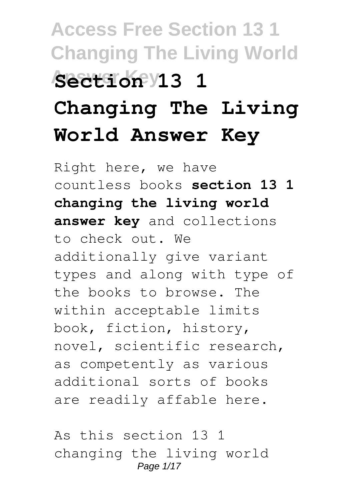# **Access Free Section 13 1 Changing The Living World Answer Key Section 13 1 Changing The Living World Answer Key**

Right here, we have countless books **section 13 1 changing the living world answer key** and collections to check out. We additionally give variant types and along with type of the books to browse. The within acceptable limits book, fiction, history, novel, scientific research, as competently as various additional sorts of books are readily affable here.

As this section 13 1 changing the living world Page 1/17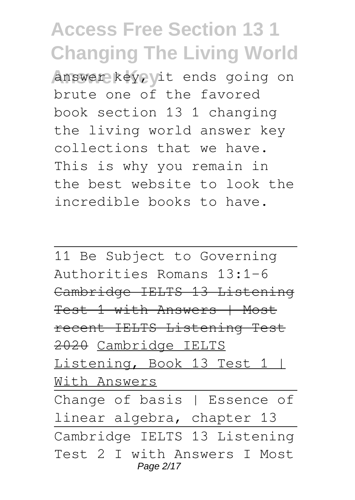**Answer key, it ends going on** brute one of the favored book section 13 1 changing the living world answer key collections that we have. This is why you remain in the best website to look the incredible books to have.

11 Be Subject to Governing Authorities Romans 13:1-6 Cambridge IELTS 13 Listening Test 1 with Answers | Most recent IELTS Listening Test 2020 Cambridge IELTS Listening, Book 13 Test 1 | With Answers

Change of basis | Essence of linear algebra, chapter 13 Cambridge IELTS 13 Listening Test 2 I with Answers I Most Page 2/17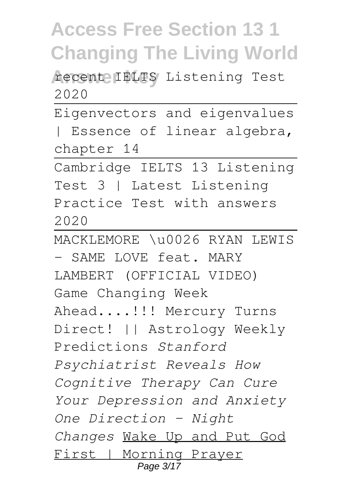recente IELTS Listening Test 2020

Eigenvectors and eigenvalues

| Essence of linear algebra, chapter 14

Cambridge IELTS 13 Listening Test 3 | Latest Listening Practice Test with answers 2020

MACKLEMORE \u0026 RYAN LEWIS - SAME LOVE feat. MARY LAMBERT (OFFICIAL VIDEO) Game Changing Week Ahead....!!! Mercury Turns Direct! || Astrology Weekly Predictions *Stanford Psychiatrist Reveals How Cognitive Therapy Can Cure Your Depression and Anxiety One Direction - Night Changes* Wake Up and Put God First | Morning Prayer Page 3/17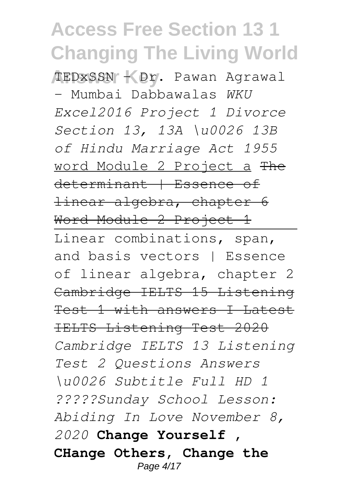**Answer Key** TEDxSSN - Dr. Pawan Agrawal - Mumbai Dabbawalas *WKU Excel2016 Project 1 Divorce Section 13, 13A \u0026 13B of Hindu Marriage Act 1955* word Module 2 Project a The determinant | Essence of linear algebra, chapter 6 Word Module 2 Project 1 Linear combinations, span, and basis vectors | Essence of linear algebra, chapter 2 Cambridge IELTS 15 Listening Test 1 with answers I Latest IELTS Listening Test 2020 *Cambridge IELTS 13 Listening Test 2 Questions Answers \u0026 Subtitle Full HD 1 ?????Sunday School Lesson: Abiding In Love November 8, 2020* **Change Yourself , CHange Others, Change the** Page 4/17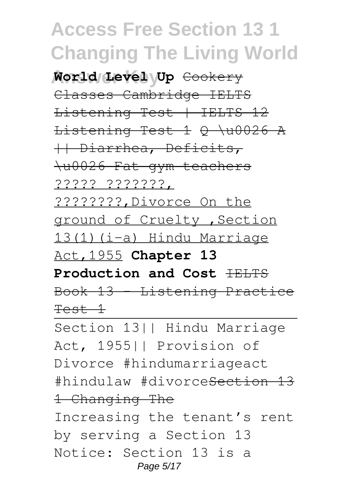**Answer Key World Level Up** Cookery Classes Cambridge IELTS Listening Test | IELTS 12 Listening Test 1 Q \u0026 A || Diarrhea, Deficits, \u0026 Fat gym teachers ????? ???????, ????????,Divorce On the ground of Cruelty ,Section 13(1)(i-a) Hindu Marriage Act,1955 **Chapter 13 Production and Cost FELTS** 

Book 13 - Listening Practice Test 1

Section 13|| Hindu Marriage Act, 1955|| Provision of Divorce #hindumarriageact #hindulaw #divorceSection 13 1 Changing The Increasing the tenant's rent by serving a Section 13 Notice: Section 13 is a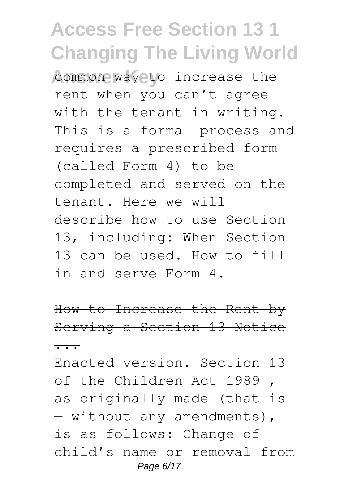common way to increase the rent when you can't agree with the tenant in writing. This is a formal process and requires a prescribed form (called Form 4) to be completed and served on the tenant. Here we will describe how to use Section 13, including: When Section 13 can be used. How to fill in and serve Form 4.

How to Increase the Rent by Serving a Section 13 Notice ...

Enacted version. Section 13 of the Children Act 1989 , as originally made (that is — without any amendments), is as follows: Change of child's name or removal from Page 6/17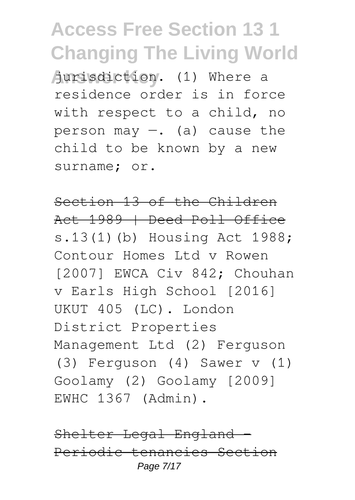Aurisdiction. (1) Where a residence order is in force with respect to a child, no person may  $-$ . (a) cause the child to be known by a new surname; or.

Section 13 of the Children Act 1989 | Deed Poll Office s.13(1)(b) Housing Act 1988; Contour Homes Ltd v Rowen [2007] EWCA Civ 842; Chouhan v Earls High School [2016] UKUT 405 (LC). London District Properties Management Ltd (2) Ferguson (3) Ferguson (4) Sawer v (1) Goolamy (2) Goolamy [2009] EWHC 1367 (Admin).

Shelter Legal England Periodic tenancies Section Page 7/17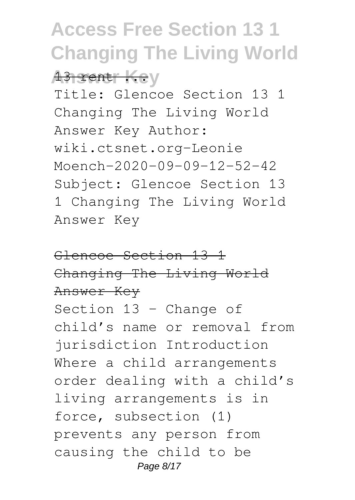**Answer Key** 

Title: Glencoe Section 13 1 Changing The Living World Answer Key Author: wiki.ctsnet.org-Leonie Moench-2020-09-09-12-52-42 Subject: Glencoe Section 13 1 Changing The Living World Answer Key

Glencoe Section 13 1 Changing The Living World Answer Key Section 13 – Change of child's name or removal from jurisdiction Introduction Where a child arrangements order dealing with a child's living arrangements is in force, subsection (1) prevents any person from causing the child to be Page 8/17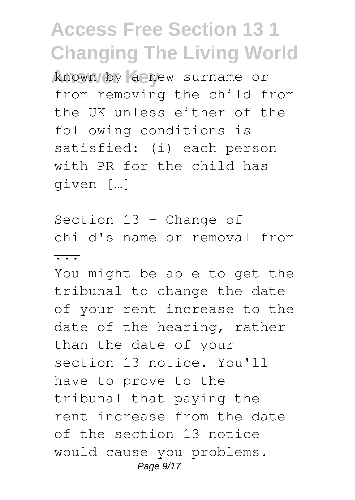**Answer Key** known by a new surname or from removing the child from the UK unless either of the following conditions is satisfied: (i) each person with PR for the child has given […]

Section 13 - Change of child's name or removal from ...

You might be able to get the tribunal to change the date of your rent increase to the date of the hearing, rather than the date of your section 13 notice. You'll have to prove to the tribunal that paying the rent increase from the date of the section 13 notice would cause you problems. Page  $9/17$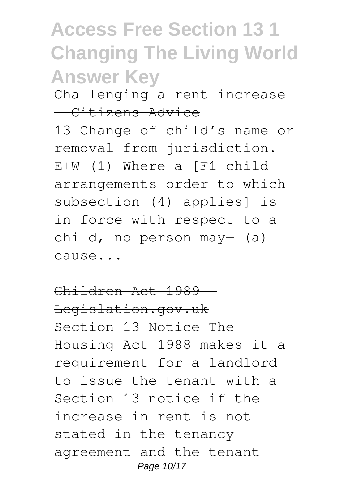Challenging a rent increase - Citizens Advice

13 Change of child's name or removal from jurisdiction. E+W (1) Where a [F1 child arrangements order to which subsection (4) applies] is in force with respect to a child, no person may  $(a)$ cause...

Children Act 1989 Legislation.gov.uk Section 13 Notice The Housing Act 1988 makes it a requirement for a landlord to issue the tenant with a Section 13 notice if the increase in rent is not stated in the tenancy agreement and the tenant Page 10/17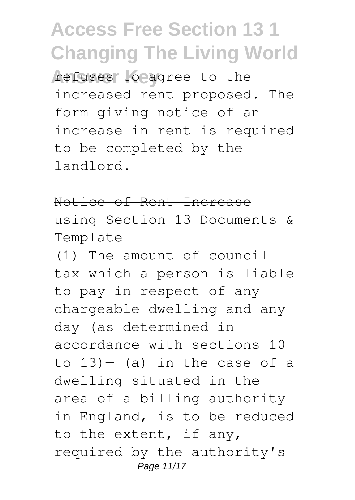refuses to agree to the increased rent proposed. The form giving notice of an increase in rent is required to be completed by the landlord.

#### Notice of Rent Increase using Section 13 Documents & **Template**

(1) The amount of council tax which a person is liable to pay in respect of any chargeable dwelling and any day (as determined in accordance with sections 10 to  $13$ ) – (a) in the case of a dwelling situated in the area of a billing authority in England, is to be reduced to the extent, if any, required by the authority's Page 11/17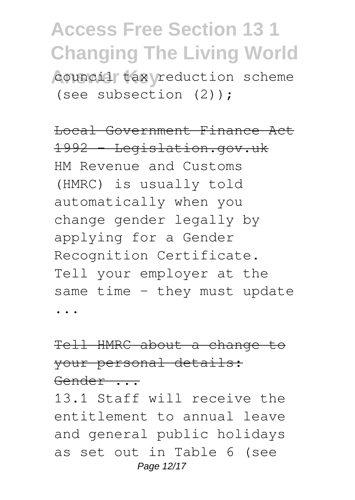council tax reduction scheme (see subsection (2));

Local Government Finance Act 1992 Legislation.gov.uk HM Revenue and Customs (HMRC) is usually told automatically when you change gender legally by applying for a Gender Recognition Certificate. Tell your employer at the same time - they must update ...

#### Tell HMRC about a change to your personal details: Gender ...

13.1 Staff will receive the entitlement to annual leave and general public holidays as set out in Table 6 (see Page 12/17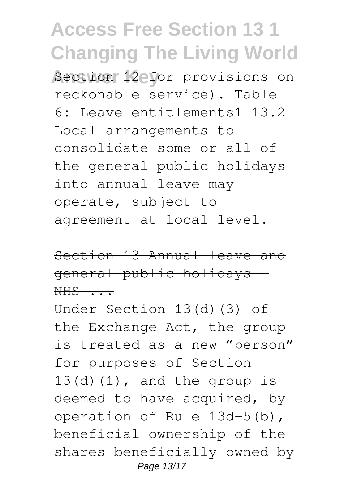**Section 12 for provisions on** reckonable service). Table 6: Leave entitlements1 13.2 Local arrangements to consolidate some or all of the general public holidays into annual leave may operate, subject to agreement at local level.

Section 13 Annual leave and general public holidays -  $NHS$  ...

Under Section 13(d)(3) of the Exchange Act, the group is treated as a new "person" for purposes of Section  $13(d)(1)$ , and the group is deemed to have acquired, by operation of Rule 13d-5(b), beneficial ownership of the shares beneficially owned by Page 13/17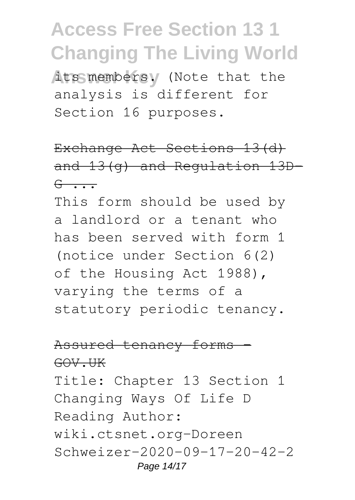**Ats members.** (Note that the analysis is different for Section 16 purposes.

Exchange Act Sections 13(d) and 13(g) and Regulation 13D- $G \rightarrow \bullet$ 

This form should be used by a landlord or a tenant who has been served with form 1 (notice under Section 6(2) of the Housing Act 1988), varying the terms of a statutory periodic tenancy.

#### Assured tenancy forms

GOV.UK

Title: Chapter 13 Section 1 Changing Ways Of Life D Reading Author: wiki.ctsnet.org-Doreen Schweizer-2020-09-17-20-42-2 Page 14/17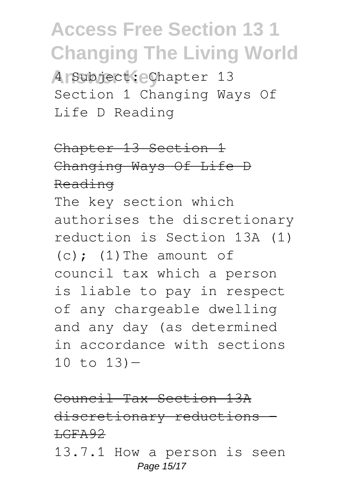**Answer Key** 4 Subject: Chapter 13 Section 1 Changing Ways Of Life D Reading

Chapter 13 Section 1 Changing Ways Of Life D Reading

The key section which authorises the discretionary reduction is Section 13A (1)  $(c)$ :  $(1)$  The amount of council tax which a person is liable to pay in respect of any chargeable dwelling and any day (as determined in accordance with sections  $10$  to  $13$ ) –

Council Tax Section 13A discretionary reductions –  $HGFA92$ 13.7.1 How a person is seen Page 15/17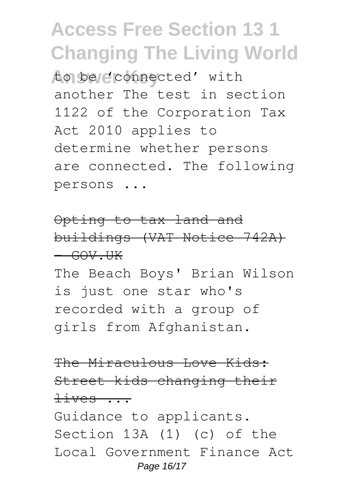to be connected' with another The test in section 1122 of the Corporation Tax Act 2010 applies to determine whether persons are connected. The following persons ...

#### Opting to tax land and buildings (VAT Notice 742A)  $-$  GOV. UK

The Beach Boys' Brian Wilson is just one star who's recorded with a group of girls from Afghanistan.

#### The Miraculous Love Kids: Street kids changing their  $dives$  ...

Guidance to applicants. Section 13A (1) (c) of the Local Government Finance Act Page 16/17